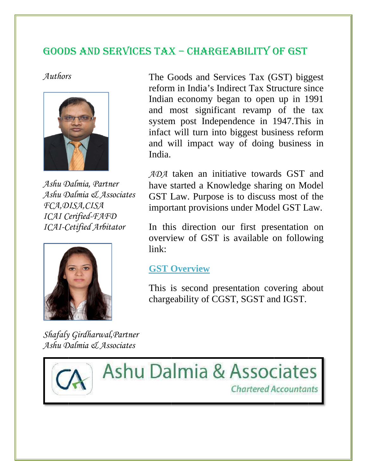## GOODS AND SERVICES TAX - CHARGEABILITY OF GST

*Authors*



*Ashu Dalmia, Partner Ashu D Dalmia & A Associates FCA,D DISA,CISA ICAI C Cerified-FA AAFD ICAI-C Cetified Arb bitator*



*Shafaly y Girdharw wal,Partner Ashu D Dalmia & A Associates*



The G<br>reform<br>Indian<br>and n<br>system<br>infact<br>and w<br>India.<br>*ADA* t<br>have s<br>GST I<br>import<br>In this<br>overvidink:<br>**GST C**<br>This is<br>charge This india. reform in India's Indirect Tax Structure since Indian economy began to open up in 1991 and most significant revamp of the tax system post Independence in 1947. This in infact will turn into biggest business reform and will impact way of doing business in India. Goods and Services Tax (GST) biggest

ADA taken an initiative towards GST and have started a Knowledge sharing on Model GST Law. Purpose is to discuss most of the important provisions under Model GST Law.

In this direction our first presentation on overview of GST is available on following link:

### **GST [Overview](http://www.ada.org.in/update_details.php?id=151)**

This is second presentation covering about chargeability of CGST, SGST and IGST.

**Ashu Dalmia & Associates Chartered Accountants**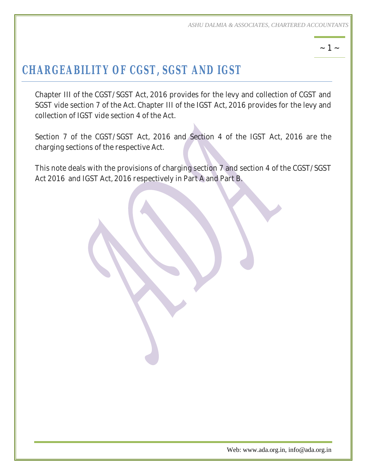$\sim$  1  $\sim$ 

# *CHARGEABILITY OF CGST, SGST AND IGST*

Chapter III of the CGST/SGST Act, 2016 provides for the levy and collection of CGST and SGST vide section 7 of the Act. Chapter III of the IGST Act, 2016 provides for the levy and collection of IGST vide section 4 of the Act.

Section 7 of the CGST/SGST Act, 2016 and Section 4 of the IGST Act, 2016 are the charging sections of the respective Act.

This note deals with the provisions of charging section 7 and section 4 of the CGST/SGST Act 2016 and IGST Act, 2016 respectively in Part A and Part B.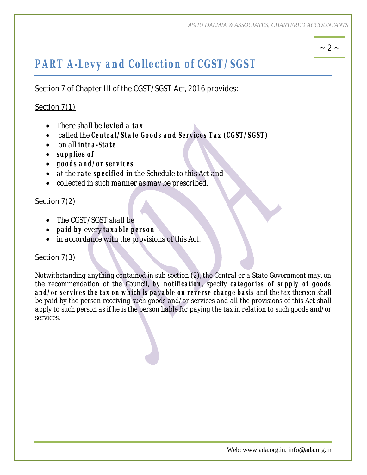## $\sim 2 \sim$

# *PART A-Levy and Collection of CGST/SGST*

Section 7 of Chapter III of the CGST/SGST Act, 2016 provides:

### Section 7(1)

- ∑ *There shall be levied a tax*
- ∑ *called the Central/State Goods and Services Tax (CGST/SGST)*
- ∑ *on all intra-State*
- ∑ *supplies of*
- ∑ *goods and/or services*
- ∑ *at the rate specified in the Schedule to this Act and*
- ∑ *collected in such manner as may be prescribed.*

#### Section 7(2)

- ∑ *The CGST/SGST shall be*
- ∑ *paid by every taxable person*
- ∑ *in accordance with the provisions of this Act.*

#### Section 7(3)

*Notwithstanding anything contained in sub-section (2), the Central or a State Government may, on the recommendation of the Council, by notification, specify categories of supply of goods and/or services the tax on which is payable on reverse charge basis and the tax thereon shall be paid by the person receiving such goods and/or services and all the provisions of this Act shall apply to such person as if he is the person liable for paying the tax in relation to such goods and/or services.*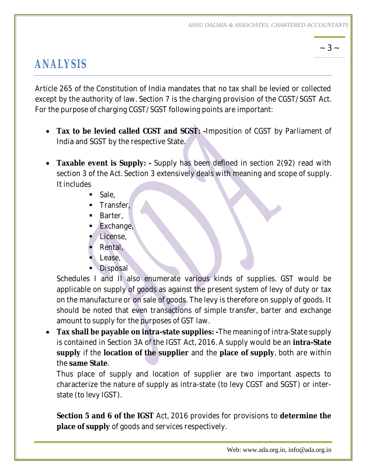## $\sim$  3  $\sim$

# *ANALYSIS*

Article 265 of the Constitution of India mandates that no tax shall be levied or collected except by the authority of law. Section 7 is the charging provision of the CGST/SGST Act. For the purpose of charging CGST/SGST following points are important:

- ∑ **Tax to be levied called CGST and SGST: -**Imposition of CGST by Parliament of India and SGST by the respective State.
- ∑ **Taxable event is Supply: -** Supply has been defined in section 2(92) read with section 3 of the Act. Section 3 extensively deals with meaning and scope of supply. It includes
	- **Sale**,
	- **Transfer.**
	- **Barter.**
	- **Exchange,**
	- $\blacksquare$  License,
	- Rental,
	- Lease.
	- **Disposal**

Schedules I and II also enumerate various kinds of supplies. GST would be applicable on supply of goods as against the present system of levy of duty or tax on the manufacture or on sale of goods. The levy is therefore on supply of goods. It should be noted that even transactions of simple transfer, barter and exchange amount to supply for the purposes of GST law.

∑ **Tax shall be payable on intra-state supplies: -**The meaning of intra-State supply is contained in Section 3A of the IGST Act, 2016. A supply would be an **intra-State supply** if the **location of the supplier** and the **place of supply**, both are within the **same State**.

Thus place of supply and location of supplier are two important aspects to characterize the nature of supply as intra-state (to levy CGST and SGST) or interstate (to levy IGST).

**Section 5 and 6 of the IGST** Act, 2016 provides for provisions to **determine the place of supply** of goods and services respectively.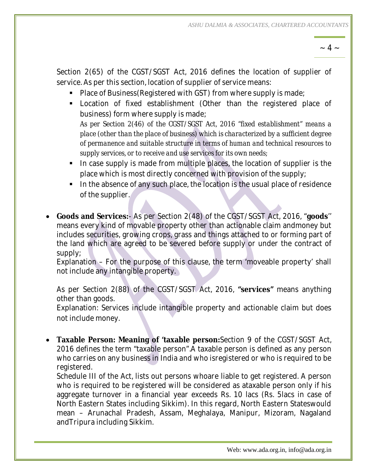$\sim 4 \sim$ 

Section 2(65) of the CGST/SGST Act, 2016 defines the location of supplier of service. As per this section, location of supplier of service means:

- Place of Business (Registered with GST) from where supply is made;
- Location of fixed establishment (Other than the registered place of business) form where supply is made; *As per Section 2(46) of the CGST/SGST Act, 2016 "fixed establishment" means a place (other than the place of business) which is characterized by a sufficient degree of permanence and suitable structure in terms of human and technical resources to*
- *supply services, or to receive and use services for its own needs;* In case supply is made from multiple places, the location of supplier is the place which is most directly concerned with provision of the supply;
- In the absence of any such place, the location is the usual place of residence of the supplier.
- ∑ **Goods and Services:** As per Section 2(48) of the CGST/SGST Act, 2016, "**goods**'' means every kind of movable property other than actionable claim andmoney but includes securities, growing crops, grass and things attached to or forming part of the land which are agreed to be severed before supply or under the contract of supply;

Explanation – For the purpose of this clause, the term 'moveable property' shall not include any intangible property.

As per Section 2(88) of the CGST/SGST Act, 2016, **"services"** means anything other than goods.

Explanation: Services include intangible property and actionable claim but does not include money.

∑ **Taxable Person: Meaning of 'taxable person:**Section 9 of the CGST/SGST Act, 2016 defines the term "taxable person".A taxable person is defined as any person who carries on any business in India and who isregistered or who is required to be registered.

Schedule III of the Act, lists out persons whoare liable to get registered. A person who is required to be registered will be considered as ataxable person only if his aggregate turnover in a financial year exceeds Rs. 10 lacs (Rs. 5lacs in case of North Eastern States including Sikkim). In this regard, North Eastern Stateswould mean – Arunachal Pradesh, Assam, Meghalaya, Manipur, Mizoram, Nagaland andTripura including Sikkim.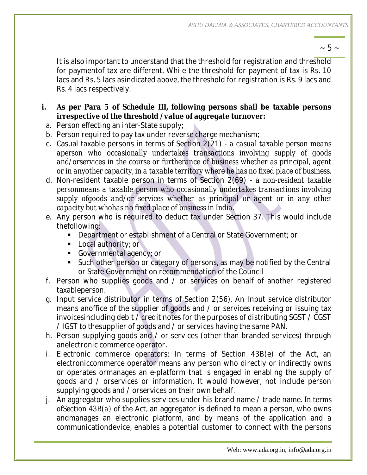$\sim$  5  $\sim$ 

It is also important to understand that the threshold for registration and threshold for paymentof tax are different. While the threshold for payment of tax is Rs. 10 lacs and Rs. 5 lacs asindicated above, the threshold for registration is Rs. 9 lacs and Rs. 4 lacs respectively.

- **i. As per Para 5 of Schedule III, following persons shall be taxable persons irrespective of the threshold /value of aggregate turnover:**
- a. Person effecting an inter-State supply;
- b. Person required to pay tax under reverse charge mechanism;
- c. Casual taxable persons in terms of Section 2(21) *a casual taxable person means aperson who occasionally undertakes transactions involving supply of goods*  and/orservices in the course or furtherance of business whether as principal, agent *or in anyother capacity, in a taxable territory where he has no fixed place of business.*
- d. Non-resident taxable person in terms of Section 2(69) *a non-resident taxable personmeans a taxable person who occasionally undertakes transactions involving*  supply ofgoods and/or services whether as principal or agent or in any other *capacity but whohas no fixed place of business in India.*
- e. Any person who is required to deduct tax under Section 37. This would include thefollowing:
	- **Department or establishment of a Central or State Government; or**
	- **Local authority; or**
	- Governmental agency; or
	- ß Such other person or category of persons, as may be notified by the Central or State Government on recommendation of the Council
- f. Person who supplies goods and / or services on behalf of another registered taxableperson.
- g. Input service distributor in terms of Section 2(56). An Input service distributor means anoffice of the supplier of goods and / or services receiving or issuing tax invoicesincluding debit / credit notes for the purposes of distributing SGST / CGST / IGST to thesupplier of goods and / or services having the same PAN.
- h. Person supplying goods and / or services (other than branded services) through anelectronic commerce operator.
- i. Electronic commerce operators: In terms of Section 43B(e) of the Act, an electroniccommerce operator means any person who directly or indirectly owns or operates ormanages an e-platform that is engaged in enabling the supply of goods and / orservices or information. It would however, not include person supplying goods and / orservices on their own behalf.
- j. An aggregator who supplies services under his brand name / trade name. *In terms ofSection 43B(a) of the* Act, an aggregator is defined to mean a person, who owns andmanages an electronic platform, and by means of the application and a communicationdevice, enables a potential customer to connect with the persons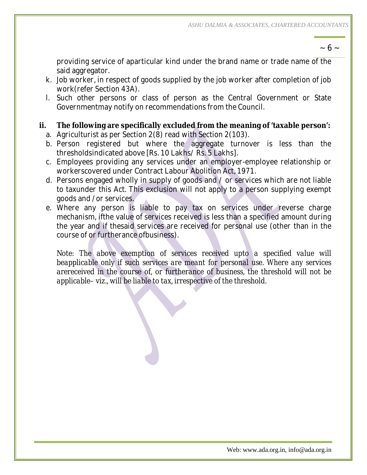$\sim 6 \sim$ 

providing service of aparticular kind under the brand name or trade name of the said aggregator.

- k. Job worker, in respect of goods supplied by the job worker after completion of job work(refer Section 43A).
- l. Such other persons or class of person as the Central Government or State Governmentmay notify on recommendations from the Council.
- **ii. The following are specifically excluded from the meaning of 'taxable person':** a. Agriculturist as per Section 2(8) read with Section 2(103).
	- b. Person registered but where the aggregate turnover is less than the thresholdsindicated above [Rs. 10 Lakhs/ Rs. 5 Lakhs].
	- c. Employees providing any services under an employer-employee relationship or workerscovered under Contract Labour Abolition Act, 1971.
	- d. Persons engaged wholly in supply of goods and / or services which are not liable to taxunder this Act. This exclusion will not apply to a person supplying exempt goods and /or services.
	- e. Where any person is liable to pay tax on services under reverse charge mechanism, ifthe value of services received is less than a specified amount during the year and if thesaid services are received for personal use (other than in the course of or furtherance ofbusiness).

Note: The above exemption of services received upto a specified value will *beapplicable only if such services are meant for personal use. Where any services arereceived in the course of, or furtherance of business, the threshold will not be applicable– viz., will be liable to tax, irrespective of the threshold.*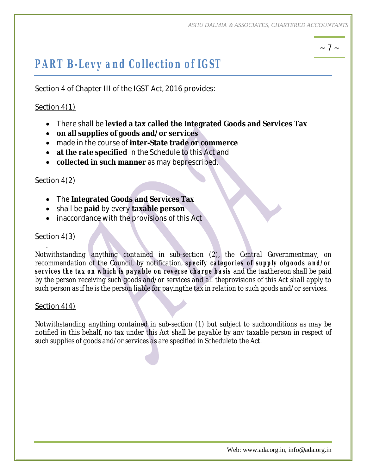## $\sim$  7  $\sim$

## *PART B-Levy and Collection of IGST*

Section 4 of Chapter III of the IGST Act, 2016 provides:

### Section 4(1)

- ∑ There shall be **levied a tax called the Integrated Goods and Services Tax**
- ∑ **on all supplies of goods and/or services**
- ∑ made in the course of **inter-State trade or commerce**
- at the rate specified in the Schedule to this Act and
- ∑ **collected in such manner** as may beprescribed.

#### Section 4(2)

- ∑ The **Integrated Goods and Services Tax**
- ∑ shall be **paid** by every **taxable person**
- inaccordance with the provisions of this Act

### Section 4(3)

.

*Notwithstanding anything contained in sub-section (2), the Central Governmentmay, on recommendation of the Council, by notification, specify categories of supply ofgoods and/or services the tax on which is payable on reverse charge basis and the taxthereon shall be paid by the person receiving such goods and/or services and all theprovisions of this Act shall apply to such person as if he is the person liable for payingthe tax in relation to such goods and/or services.*

#### Section 4(4)

*Notwithstanding anything contained in sub-section (1) but subject to suchconditions as may be notified in this behalf, no tax under this Act shall be payable by any taxable person in respect of such supplies of goods and/or services as are specified in Scheduleto the Act.*